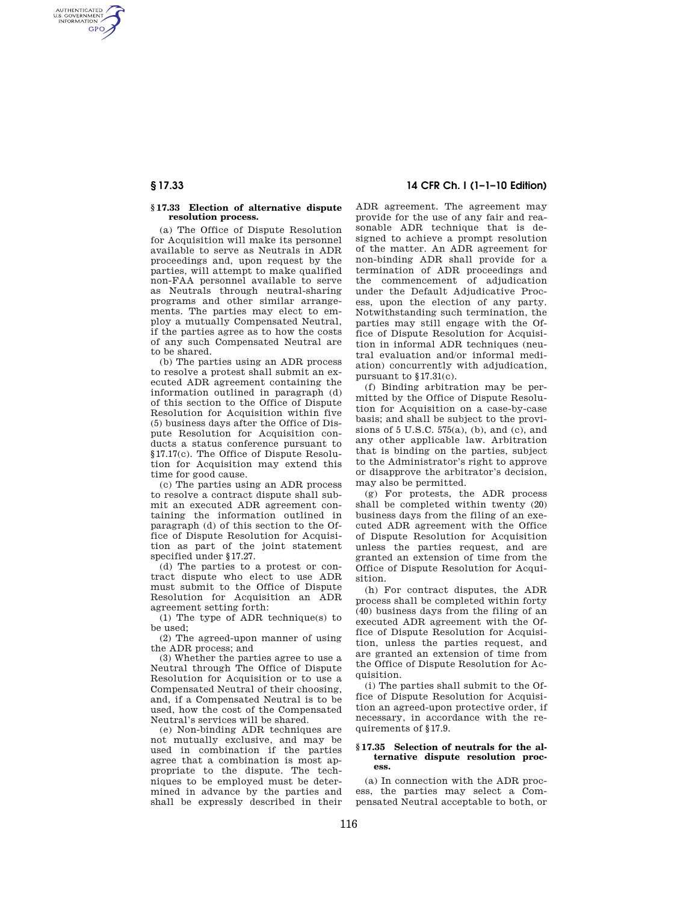AUTHENTICATED<br>U.S. GOVERNMENT<br>INFORMATION **GPO** 

### **§ 17.33 Election of alternative dispute resolution process.**

(a) The Office of Dispute Resolution for Acquisition will make its personnel available to serve as Neutrals in ADR proceedings and, upon request by the parties, will attempt to make qualified non-FAA personnel available to serve as Neutrals through neutral-sharing programs and other similar arrangements. The parties may elect to employ a mutually Compensated Neutral, if the parties agree as to how the costs of any such Compensated Neutral are to be shared.

(b) The parties using an ADR process to resolve a protest shall submit an executed ADR agreement containing the information outlined in paragraph (d) of this section to the Office of Dispute Resolution for Acquisition within five (5) business days after the Office of Dispute Resolution for Acquisition conducts a status conference pursuant to §17.17(c). The Office of Dispute Resolution for Acquisition may extend this time for good cause.

(c) The parties using an ADR process to resolve a contract dispute shall submit an executed ADR agreement containing the information outlined in paragraph (d) of this section to the Office of Dispute Resolution for Acquisition as part of the joint statement specified under §17.27.

(d) The parties to a protest or contract dispute who elect to use ADR must submit to the Office of Dispute Resolution for Acquisition an ADR agreement setting forth:

(1) The type of ADR technique(s) to be used;

(2) The agreed-upon manner of using the ADR process; and

(3) Whether the parties agree to use a Neutral through The Office of Dispute Resolution for Acquisition or to use a Compensated Neutral of their choosing, and, if a Compensated Neutral is to be used, how the cost of the Compensated Neutral's services will be shared.

(e) Non-binding ADR techniques are not mutually exclusive, and may be used in combination if the parties agree that a combination is most appropriate to the dispute. The techniques to be employed must be determined in advance by the parties and shall be expressly described in their

# **§ 17.33 14 CFR Ch. I (1–1–10 Edition)**

ADR agreement. The agreement may provide for the use of any fair and reasonable ADR technique that is designed to achieve a prompt resolution of the matter. An ADR agreement for non-binding ADR shall provide for a termination of ADR proceedings and the commencement of adjudication under the Default Adjudicative Process, upon the election of any party. Notwithstanding such termination, the parties may still engage with the Office of Dispute Resolution for Acquisition in informal ADR techniques (neutral evaluation and/or informal mediation) concurrently with adjudication, pursuant to §17.31(c).

(f) Binding arbitration may be permitted by the Office of Dispute Resolution for Acquisition on a case-by-case basis; and shall be subject to the provisions of  $5 \text{ U.S.C. } 575(a)$ , (b), and (c), and any other applicable law. Arbitration that is binding on the parties, subject to the Administrator's right to approve or disapprove the arbitrator's decision, may also be permitted.

(g) For protests, the ADR process shall be completed within twenty (20) business days from the filing of an executed ADR agreement with the Office of Dispute Resolution for Acquisition unless the parties request, and are granted an extension of time from the Office of Dispute Resolution for Acquisition.

(h) For contract disputes, the ADR process shall be completed within forty (40) business days from the filing of an executed ADR agreement with the Office of Dispute Resolution for Acquisition, unless the parties request, and are granted an extension of time from the Office of Dispute Resolution for Acquisition.

(i) The parties shall submit to the Office of Dispute Resolution for Acquisition an agreed-upon protective order, if necessary, in accordance with the requirements of §17.9.

#### **§ 17.35 Selection of neutrals for the alternative dispute resolution process.**

(a) In connection with the ADR process, the parties may select a Compensated Neutral acceptable to both, or